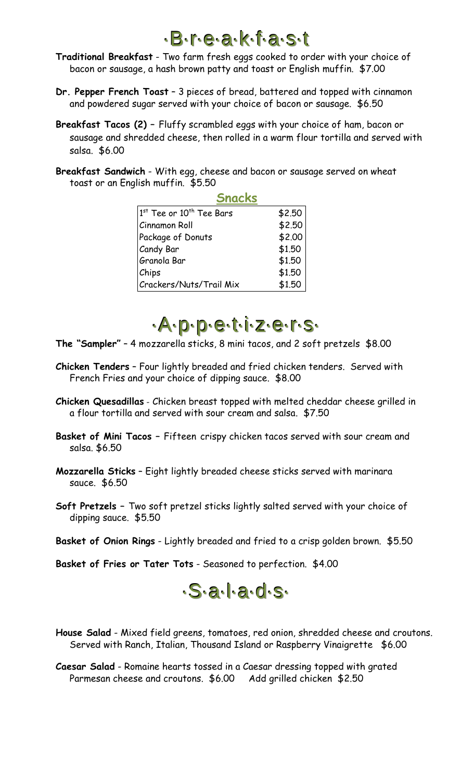## ··B··r··e··a··k··f··a··s··t

**Traditional Breakfast** - Two farm fresh eggs cooked to order with your choice of bacon or sausage, a hash brown patty and toast or English muffin. \$7.00

- **Dr. Pepper French Toast** 3 pieces of bread, battered and topped with cinnamon and powdered sugar served with your choice of bacon or sausage. \$6.50
- **Breakfast Tacos (2) –** Fluffy scrambled eggs with your choice of ham, bacon or sausage and shredded cheese, then rolled in a warm flour tortilla and served with salsa. \$6.00
- **Breakfast Sandwich** With egg, cheese and bacon or sausage served on wheat toast or an English muffin. \$5.50

|                                      | <b>Snacks</b> |
|--------------------------------------|---------------|
| 1st Tee or 10 <sup>th</sup> Tee Bars | \$2.50        |
| Cinnamon Roll                        | \$2.50        |
| Package of Donuts                    | \$2.00        |
| Candy Bar                            | \$1.50        |
| Granola Bar                          | \$1.50        |
| Chips                                | \$1.50        |
| Crackers/Nuts/Trail Mix              | \$1.50        |



- **The "Sampler"** 4 mozzarella sticks, 8 mini tacos, and 2 soft pretzels \$8.00
- **Chicken Tenders** Four lightly breaded and fried chicken tenders. Served with French Fries and your choice of dipping sauce. \$8.00
- **Chicken Quesadillas** Chicken breast topped with melted cheddar cheese grilled in a flour tortilla and served with sour cream and salsa. \$7.50
- **Basket of Mini Tacos –** Fifteen crispy chicken tacos served with sour cream and salsa. \$6.50
- **Mozzarella Sticks** Eight lightly breaded cheese sticks served with marinara sauce. \$6.50
- **Soft Pretzels –** Two soft pretzel sticks lightly salted served with your choice of dipping sauce. \$5.50
- **Basket of Onion Rings** Lightly breaded and fried to a crisp golden brown. \$5.50

**Basket of Fries or Tater Tots** - Seasoned to perfection. \$4.00



**House Salad** - Mixed field greens, tomatoes, red onion, shredded cheese and croutons. Served with Ranch, Italian, Thousand Island or Raspberry Vinaigrette \$6.00

**Caesar Salad** - Romaine hearts tossed in a Caesar dressing topped with grated Parmesan cheese and croutons. \$6.00 Add grilled chicken \$2.50